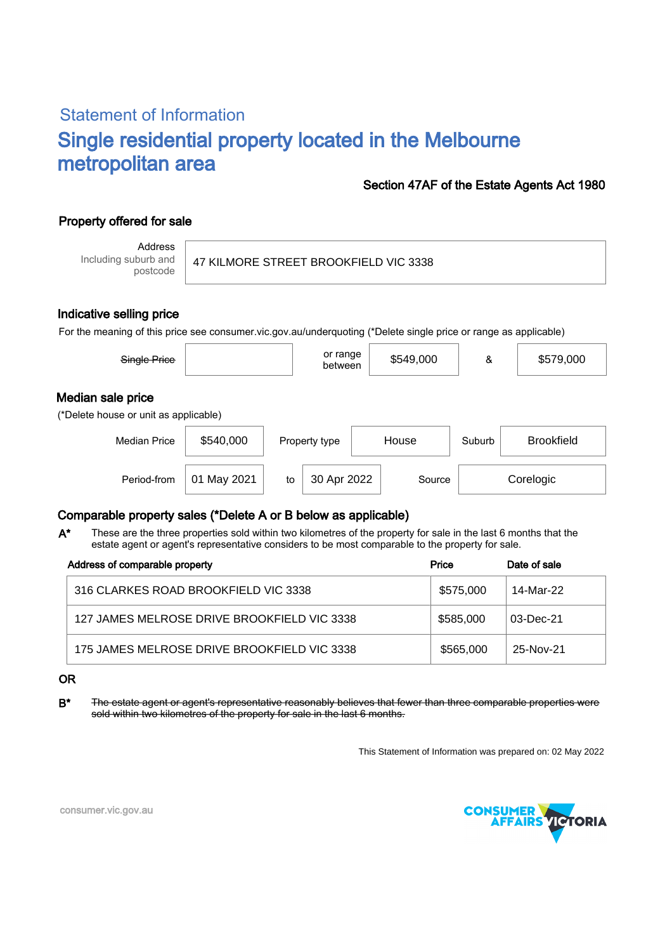# Statement of Information Single residential property located in the Melbourne metropolitan area

### Section 47AF of the Estate Agents Act 1980

## Property offered for sale

Address Including suburb and postcode

#### 47 KILMORE STREET BROOKFIELD VIC 3338

#### Indicative selling price

For the meaning of this price see consumer.vic.gov.au/underquoting (\*Delete single price or range as applicable)

| Single Price                                               |             |    | or range<br>between |       | \$549,000 | &      | \$579,000         |  |  |  |
|------------------------------------------------------------|-------------|----|---------------------|-------|-----------|--------|-------------------|--|--|--|
| Median sale price<br>(*Delete house or unit as applicable) |             |    |                     |       |           |        |                   |  |  |  |
| <b>Median Price</b>                                        | \$540,000   |    | Property type       | House |           | Suburb | <b>Brookfield</b> |  |  |  |
| Period-from                                                | 01 May 2021 | to | 30 Apr 2022         |       | Source    |        | Corelogic         |  |  |  |

## Comparable property sales (\*Delete A or B below as applicable)

These are the three properties sold within two kilometres of the property for sale in the last 6 months that the estate agent or agent's representative considers to be most comparable to the property for sale. A\*

| Address of comparable property              | Price     | Date of sale |  |
|---------------------------------------------|-----------|--------------|--|
| 316 CLARKES ROAD BROOKFIELD VIC 3338        | \$575,000 | 14-Mar-22    |  |
| 127 JAMES MELROSE DRIVE BROOKFIELD VIC 3338 | \$585,000 | 03-Dec-21    |  |
| 175 JAMES MELROSE DRIVE BROOKFIELD VIC 3338 | \$565,000 | 25-Nov-21    |  |

#### OR

B<sup>\*</sup> The estate agent or agent's representative reasonably believes that fewer than three comparable properties were sold within two kilometres of the property for sale in the last 6 months.

This Statement of Information was prepared on: 02 May 2022



consumer.vic.gov.au